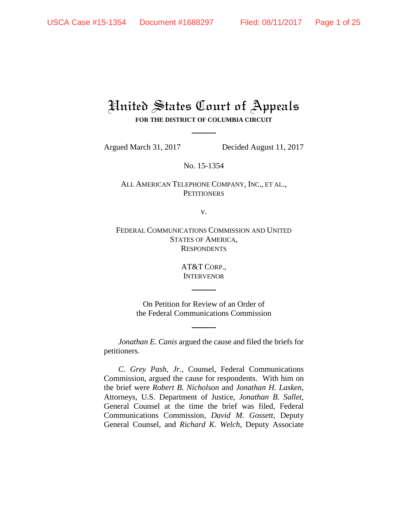# United States Court of Appeals **FOR THE DISTRICT OF COLUMBIA CIRCUIT**

Argued March 31, 2017 Decided August 11, 2017

No. 15-1354

ALL AMERICAN TELEPHONE COMPANY, INC., ET AL., **PETITIONERS** 

v.

FEDERAL COMMUNICATIONS COMMISSION AND UNITED STATES OF AMERICA, **RESPONDENTS** 

> AT&T CORP., **INTERVENOR**

On Petition for Review of an Order of the Federal Communications Commission

*Jonathan E. Canis* argued the cause and filed the briefs for petitioners.

*C. Grey Pash, Jr.*, Counsel, Federal Communications Commission, argued the cause for respondents. With him on the brief were *Robert B. Nicholson* and *Jonathan H. Lasken*, Attorneys, U.S. Department of Justice, *Jonathan B. Sallet*, General Counsel at the time the brief was filed, Federal Communications Commission, *David M. Gossett*, Deputy General Counsel, and *Richard K. Welch*, Deputy Associate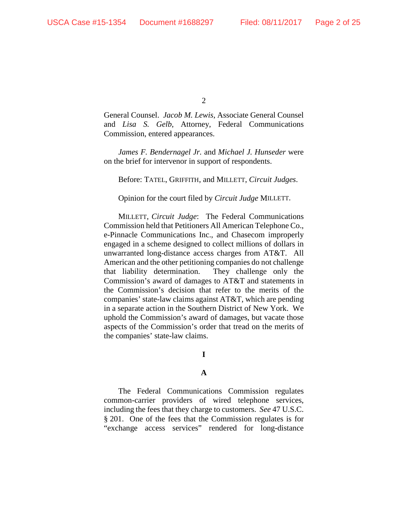General Counsel. *Jacob M. Lewis*, Associate General Counsel and *Lisa S. Gelb*, Attorney, Federal Communications Commission, entered appearances.

*James F. Bendernagel Jr.* and *Michael J. Hunseder* were on the brief for intervenor in support of respondents.

Before: TATEL, GRIFFITH, and MILLETT, *Circuit Judges*.

Opinion for the court filed by *Circuit Judge* MILLETT.

MILLETT, *Circuit Judge*: The Federal Communications Commission held that Petitioners All American Telephone Co., e-Pinnacle Communications Inc., and Chasecom improperly engaged in a scheme designed to collect millions of dollars in unwarranted long-distance access charges from AT&T. All American and the other petitioning companies do not challenge that liability determination. They challenge only the Commission's award of damages to AT&T and statements in the Commission's decision that refer to the merits of the companies' state-law claims against AT&T, which are pending in a separate action in the Southern District of New York. We uphold the Commission's award of damages, but vacate those aspects of the Commission's order that tread on the merits of the companies' state-law claims.

**I**

#### **A**

The Federal Communications Commission regulates common-carrier providers of wired telephone services, including the fees that they charge to customers. *See* 47 U.S.C. § 201. One of the fees that the Commission regulates is for "exchange access services" rendered for long-distance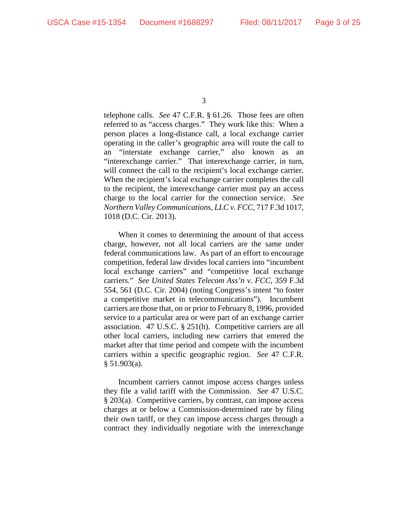telephone calls. *See* 47 C.F.R. § 61.26. Those fees are often referred to as "access charges." They work like this: When a person places a long-distance call, a local exchange carrier operating in the caller's geographic area will route the call to an "interstate exchange carrier," also known as an "interexchange carrier." That interexchange carrier, in turn, will connect the call to the recipient's local exchange carrier. When the recipient's local exchange carrier completes the call to the recipient, the interexchange carrier must pay an access charge to the local carrier for the connection service. *See Northern Valley Communications, LLC v. FCC*, 717 F.3d 1017, 1018 (D.C. Cir. 2013).

When it comes to determining the amount of that access charge, however, not all local carriers are the same under federal communications law. As part of an effort to encourage competition, federal law divides local carriers into "incumbent local exchange carriers" and "competitive local exchange carriers." *See United States Telecom Ass'n v. FCC*, 359 F.3d 554, 561 (D.C. Cir. 2004) (noting Congress's intent "to foster a competitive market in telecommunications"). Incumbent carriers are those that, on or prior to February 8, 1996, provided service to a particular area or were part of an exchange carrier association. 47 U.S.C. § 251(h). Competitive carriers are all other local carriers, including new carriers that entered the market after that time period and compete with the incumbent carriers within a specific geographic region. *See* 47 C.F.R. § 51.903(a).

Incumbent carriers cannot impose access charges unless they file a valid tariff with the Commission. *See* 47 U.S.C. § 203(a). Competitive carriers, by contrast, can impose access charges at or below a Commission-determined rate by filing their own tariff, or they can impose access charges through a contract they individually negotiate with the interexchange

<sup>3</sup>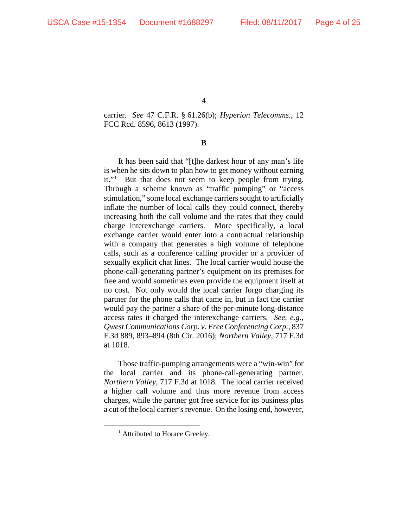carrier. *See* 47 C.F.R. § 61.26(b); *Hyperion Telecomms.*, 12 FCC Rcd. 8596, 8613 (1997).

**B**

It has been said that "[t]he darkest hour of any man's life is when he sits down to plan how to get money without earning it."<sup>[1](#page-3-0)</sup> But that does not seem to keep people from trying. Through a scheme known as "traffic pumping" or "access stimulation," some local exchange carriers sought to artificially inflate the number of local calls they could connect, thereby increasing both the call volume and the rates that they could charge interexchange carriers. More specifically, a local exchange carrier would enter into a contractual relationship with a company that generates a high volume of telephone calls, such as a conference calling provider or a provider of sexually explicit chat lines. The local carrier would house the phone-call-generating partner's equipment on its premises for free and would sometimes even provide the equipment itself at no cost. Not only would the local carrier forgo charging its partner for the phone calls that came in, but in fact the carrier would pay the partner a share of the per-minute long-distance access rates it charged the interexchange carriers. *See, e.g.*, *Qwest Communications Corp. v. Free Conferencing Corp.*, 837 F.3d 889, 893–894 (8th Cir. 2016); *Northern Valley*, 717 F.3d at 1018.

Those traffic-pumping arrangements were a "win-win" for the local carrier and its phone-call-generating partner. *Northern Valley*, 717 F.3d at 1018. The local carrier received a higher call volume and thus more revenue from access charges, while the partner got free service for its business plus a cut of the local carrier's revenue. On the losing end, however,

<span id="page-3-0"></span><sup>&</sup>lt;sup>1</sup> Attributed to Horace Greeley.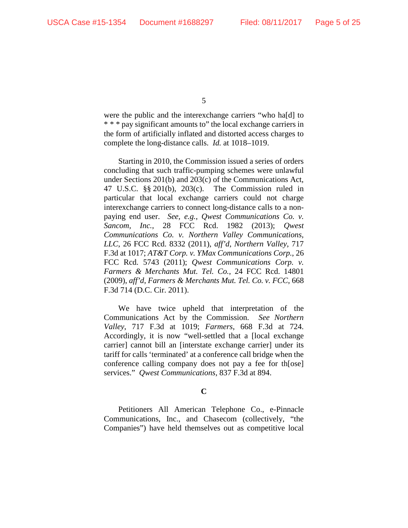were the public and the interexchange carriers "who ha[d] to \* \* \* pay significant amounts to" the local exchange carriers in the form of artificially inflated and distorted access charges to complete the long-distance calls. *Id.* at 1018–1019.

Starting in 2010, the Commission issued a series of orders concluding that such traffic-pumping schemes were unlawful under Sections 201(b) and 203(c) of the Communications Act, 47 U.S.C. §§ 201(b), 203(c). The Commission ruled in particular that local exchange carriers could not charge interexchange carriers to connect long-distance calls to a nonpaying end user. *See, e.g.*, *Qwest Communications Co. v. Sancom, Inc.*, 28 FCC Rcd. 1982 (2013); *Qwest Communications Co. v. Northern Valley Communications, LLC*, 26 FCC Rcd. 8332 (2011), *aff'd*, *Northern Valley*, 717 F.3d at 1017; *AT&T Corp. v. YMax Communications Corp.*, 26 FCC Rcd. 5743 (2011); *Qwest Communications Corp. v. Farmers & Merchants Mut. Tel. Co.*, 24 FCC Rcd. 14801 (2009), *aff'd*, *Farmers & Merchants Mut. Tel. Co. v. FCC*, 668 F.3d 714 (D.C. Cir. 2011).

We have twice upheld that interpretation of the Communications Act by the Commission. *See Northern Valley*, 717 F.3d at 1019; *Farmers*, 668 F.3d at 724. Accordingly, it is now "well-settled that a [local exchange carrier] cannot bill an [interstate exchange carrier] under its tariff for calls 'terminated' at a conference call bridge when the conference calling company does not pay a fee for th[ose] services." *Qwest Communications*, 837 F.3d at 894.

#### **C**

Petitioners All American Telephone Co., e-Pinnacle Communications, Inc., and Chasecom (collectively, "the Companies") have held themselves out as competitive local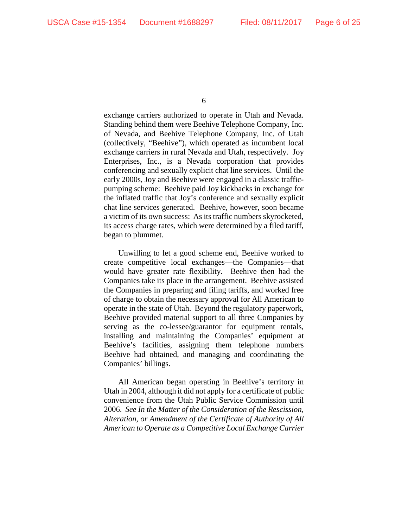exchange carriers authorized to operate in Utah and Nevada. Standing behind them were Beehive Telephone Company, Inc. of Nevada, and Beehive Telephone Company, Inc. of Utah (collectively, "Beehive"), which operated as incumbent local exchange carriers in rural Nevada and Utah, respectively. Joy Enterprises, Inc., is a Nevada corporation that provides conferencing and sexually explicit chat line services. Until the early 2000s, Joy and Beehive were engaged in a classic trafficpumping scheme: Beehive paid Joy kickbacks in exchange for the inflated traffic that Joy's conference and sexually explicit chat line services generated. Beehive, however, soon became a victim of its own success: As its traffic numbers skyrocketed, its access charge rates, which were determined by a filed tariff, began to plummet.

Unwilling to let a good scheme end, Beehive worked to create competitive local exchanges—the Companies—that would have greater rate flexibility. Beehive then had the Companies take its place in the arrangement. Beehive assisted the Companies in preparing and filing tariffs, and worked free of charge to obtain the necessary approval for All American to operate in the state of Utah. Beyond the regulatory paperwork, Beehive provided material support to all three Companies by serving as the co-lessee/guarantor for equipment rentals, installing and maintaining the Companies' equipment at Beehive's facilities, assigning them telephone numbers Beehive had obtained, and managing and coordinating the Companies' billings.

All American began operating in Beehive's territory in Utah in 2004, although it did not apply for a certificate of public convenience from the Utah Public Service Commission until 2006. *See In the Matter of the Consideration of the Rescission, Alteration, or Amendment of the Certificate of Authority of All American to Operate as a Competitive Local Exchange Carrier*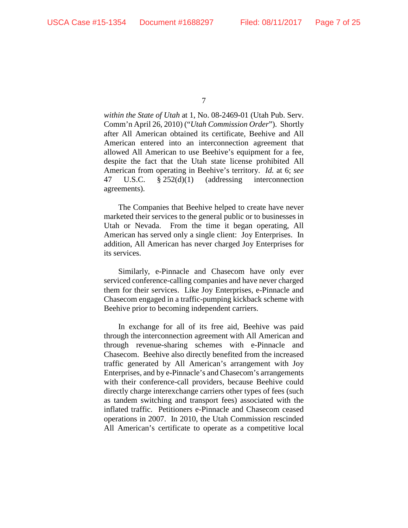*within the State of Utah* at 1, No. 08-2469-01 (Utah Pub. Serv. Comm'n April 26, 2010) ("*Utah Commission Order*"). Shortly after All American obtained its certificate, Beehive and All American entered into an interconnection agreement that allowed All American to use Beehive's equipment for a fee, despite the fact that the Utah state license prohibited All American from operating in Beehive's territory. *Id.* at 6; *see*  47 U.S.C. § 252(d)(1) (addressing interconnection agreements).

The Companies that Beehive helped to create have never marketed their services to the general public or to businesses in Utah or Nevada. From the time it began operating, All American has served only a single client: Joy Enterprises. In addition, All American has never charged Joy Enterprises for its services.

Similarly, e-Pinnacle and Chasecom have only ever serviced conference-calling companies and have never charged them for their services. Like Joy Enterprises, e-Pinnacle and Chasecom engaged in a traffic-pumping kickback scheme with Beehive prior to becoming independent carriers.

In exchange for all of its free aid, Beehive was paid through the interconnection agreement with All American and through revenue-sharing schemes with e-Pinnacle and Chasecom. Beehive also directly benefited from the increased traffic generated by All American's arrangement with Joy Enterprises, and by e-Pinnacle's and Chasecom's arrangements with their conference-call providers, because Beehive could directly charge interexchange carriers other types of fees (such as tandem switching and transport fees) associated with the inflated traffic. Petitioners e-Pinnacle and Chasecom ceased operations in 2007. In 2010, the Utah Commission rescinded All American's certificate to operate as a competitive local

<sup>7</sup>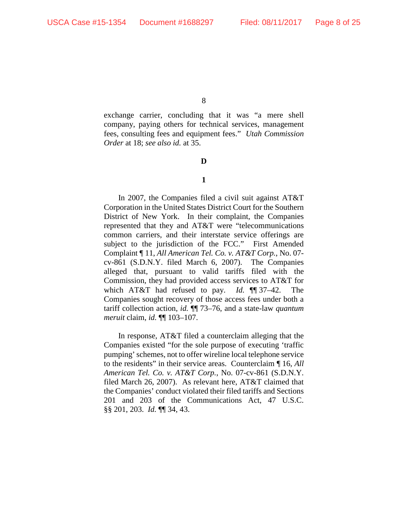exchange carrier, concluding that it was "a mere shell company, paying others for technical services, management fees, consulting fees and equipment fees." *Utah Commission Order* at 18; *see also id.* at 35.

**D**

### **1**

In 2007, the Companies filed a civil suit against AT&T Corporation in the United States District Court for the Southern District of New York. In their complaint, the Companies represented that they and AT&T were "telecommunications common carriers, and their interstate service offerings are subject to the jurisdiction of the FCC." First Amended Complaint ¶ 11, *All American Tel. Co. v. AT&T Corp.*, No. 07 cv-861 (S.D.N.Y. filed March 6, 2007). The Companies alleged that, pursuant to valid tariffs filed with the Commission, they had provided access services to AT&T for which AT&T had refused to pay. *Id.* ¶¶ 37–42. The Companies sought recovery of those access fees under both a tariff collection action, *id.* ¶¶ 73–76, and a state-law *quantum meruit* claim, *id.* ¶¶ 103–107.

In response, AT&T filed a counterclaim alleging that the Companies existed "for the sole purpose of executing 'traffic pumping' schemes, not to offer wireline local telephone service to the residents" in their service areas. Counterclaim ¶ 16, *All American Tel. Co. v. AT&T Corp.*, No. 07-cv-861 (S.D.N.Y. filed March 26, 2007). As relevant here, AT&T claimed that the Companies' conduct violated their filed tariffs and Sections 201 and 203 of the Communications Act, 47 U.S.C. §§ 201, 203. *Id.* ¶¶ 34, 43.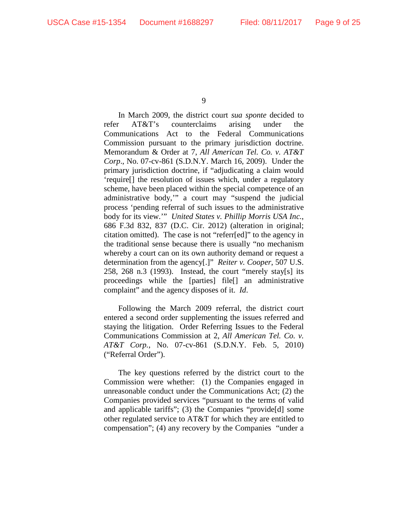In March 2009, the district court *sua sponte* decided to refer AT&T's counterclaims arising under the Communications Act to the Federal Communications Commission pursuant to the primary jurisdiction doctrine. Memorandum & Order at 7, *All American Tel. Co. v. AT&T Corp*., No. 07-cv-861 (S.D.N.Y. March 16, 2009). Under the primary jurisdiction doctrine, if "adjudicating a claim would 'require[] the resolution of issues which, under a regulatory scheme, have been placed within the special competence of an administrative body,'" a court may "suspend the judicial process 'pending referral of such issues to the administrative body for its view.'" *United States v. Phillip Morris USA Inc.*, 686 F.3d 832, 837 (D.C. Cir. 2012) (alteration in original; citation omitted). The case is not "referr[ed]" to the agency in the traditional sense because there is usually "no mechanism whereby a court can on its own authority demand or request a determination from the agency[.]" *Reiter v. Cooper*, 507 U.S. 258, 268 n.3 (1993). Instead, the court "merely stay[s] its proceedings while the [parties] file[] an administrative complaint" and the agency disposes of it. *Id*.

Following the March 2009 referral, the district court entered a second order supplementing the issues referred and staying the litigation. Order Referring Issues to the Federal Communications Commission at 2, *All American Tel. Co. v. AT&T Corp.*, No. 07-cv-861 (S.D.N.Y. Feb. 5, 2010) ("Referral Order").

The key questions referred by the district court to the Commission were whether: (1) the Companies engaged in unreasonable conduct under the Communications Act; (2) the Companies provided services "pursuant to the terms of valid and applicable tariffs"; (3) the Companies "provide[d] some other regulated service to AT&T for which they are entitled to compensation"; (4) any recovery by the Companies "under a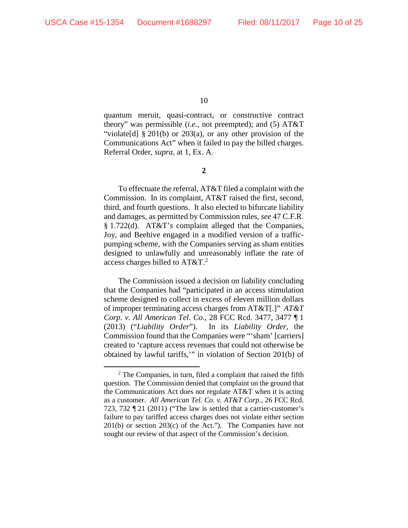quantum meruit, quasi-contract, or constructive contract theory" was permissible (*i.e.*, not preempted); and (5) AT&T "violate[d] § 201(b) or 203(a), or any other provision of the Communications Act" when it failed to pay the billed charges. Referral Order, *supra*, at 1, Ex. A.

**2**

To effectuate the referral, AT&T filed a complaint with the Commission. In its complaint, AT&T raised the first, second, third, and fourth questions. It also elected to bifurcate liability and damages, as permitted by Commission rules, *see* 47 C.F.R. § 1.722(d). AT&T's complaint alleged that the Companies, Joy, and Beehive engaged in a modified version of a trafficpumping scheme, with the Companies serving as sham entities designed to unlawfully and unreasonably inflate the rate of access charges billed to  $AT&T.^2$  $AT&T.^2$ 

The Commission issued a decision on liability concluding that the Companies had "participated in an access stimulation scheme designed to collect in excess of eleven million dollars of improper terminating access charges from AT&T[.]" *AT&T Corp. v. All American Tel. Co.*, 28 FCC Rcd. 3477, 3477 ¶ 1 (2013) ("*Liability Order*"). In its *Liability Order*, the Commission found that the Companies were "'sham' [carriers] created to 'capture access revenues that could not otherwise be obtained by lawful tariffs,'" in violation of Section 201(b) of

<span id="page-9-0"></span> $2$  The Companies, in turn, filed a complaint that raised the fifth question. The Commission denied that complaint on the ground that the Communications Act does not regulate AT&T when it is acting as a customer. *All American Tel. Co. v. AT&T Corp.*, 26 FCC Rcd. 723, 732 ¶ 21 (2011) ("The law is settled that a carrier-customer's failure to pay tariffed access charges does not violate either section 201(b) or section 203(c) of the Act."). The Companies have not sought our review of that aspect of the Commission's decision.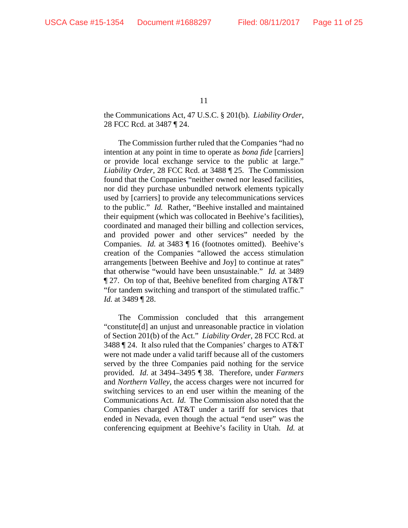the Communications Act, 47 U.S.C. § 201(b). *Liability Order*, 28 FCC Rcd. at 3487 ¶ 24.

The Commission further ruled that the Companies "had no intention at any point in time to operate as *bona fide* [carriers] or provide local exchange service to the public at large." *Liability Order*, 28 FCC Rcd. at 3488 ¶ 25. The Commission found that the Companies "neither owned nor leased facilities, nor did they purchase unbundled network elements typically used by [carriers] to provide any telecommunications services to the public." *Id.* Rather, "Beehive installed and maintained their equipment (which was collocated in Beehive's facilities), coordinated and managed their billing and collection services, and provided power and other services" needed by the Companies. *Id.* at 3483 ¶ 16 (footnotes omitted). Beehive's creation of the Companies "allowed the access stimulation arrangements [between Beehive and Joy] to continue at rates" that otherwise "would have been unsustainable." *Id.* at 3489 ¶ 27. On top of that, Beehive benefited from charging AT&T "for tandem switching and transport of the stimulated traffic." *Id.* at 3489 ¶ 28.

The Commission concluded that this arrangement "constitute[d] an unjust and unreasonable practice in violation of Section 201(b) of the Act." *Liability Order*, 28 FCC Rcd. at 3488 ¶ 24. It also ruled that the Companies' charges to AT&T were not made under a valid tariff because all of the customers served by the three Companies paid nothing for the service provided. *Id*. at 3494–3495 ¶ 38. Therefore, under *Farmers*  and *Northern Valley*, the access charges were not incurred for switching services to an end user within the meaning of the Communications Act. *Id.* The Commission also noted that the Companies charged AT&T under a tariff for services that ended in Nevada, even though the actual "end user" was the conferencing equipment at Beehive's facility in Utah. *Id.* at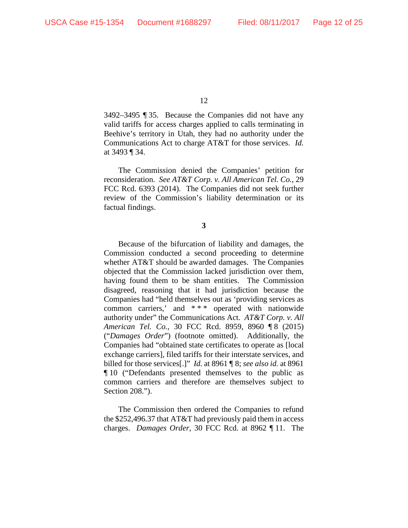3492–3495 ¶ 35. Because the Companies did not have any valid tariffs for access charges applied to calls terminating in Beehive's territory in Utah, they had no authority under the Communications Act to charge AT&T for those services. *Id.* at 3493 ¶ 34.

The Commission denied the Companies' petition for reconsideration. *See AT&T Corp. v. All American Tel. Co.*, 29 FCC Rcd. 6393 (2014). The Companies did not seek further review of the Commission's liability determination or its factual findings.

**3**

Because of the bifurcation of liability and damages, the Commission conducted a second proceeding to determine whether AT&T should be awarded damages. The Companies objected that the Commission lacked jurisdiction over them, having found them to be sham entities. The Commission disagreed, reasoning that it had jurisdiction because the Companies had "held themselves out as 'providing services as common carriers,' and \* \* \* operated with nationwide authority under" the Communications Act. *AT&T Corp. v. All American Tel. Co.*, 30 FCC Rcd. 8959, 8960 ¶ 8 (2015) ("*Damages Order*") (footnote omitted). Additionally, the Companies had "obtained state certificates to operate as [local exchange carriers], filed tariffs for their interstate services, and billed for those services[.]" *Id.* at 8961 ¶ 8; *see also id.* at 8961 ¶ 10 ("Defendants presented themselves to the public as common carriers and therefore are themselves subject to Section 208.").

The Commission then ordered the Companies to refund the \$252,496.37 that AT&T had previously paid them in access charges. *Damages Order*, 30 FCC Rcd. at 8962 ¶ 11. The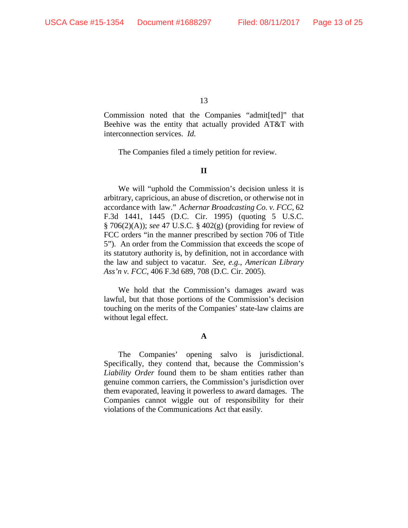Commission noted that the Companies "admit[ted]" that Beehive was the entity that actually provided AT&T with interconnection services. *Id.*

The Companies filed a timely petition for review.

#### **II**

We will "uphold the Commission's decision unless it is arbitrary, capricious, an abuse of discretion, or otherwise not in accordance with law." *Achernar Broadcasting Co. v. FCC*, 62 F.3d 1441, 1445 (D.C. Cir. 1995) (quoting 5 U.S.C. § 706(2)(A)); *see* 47 U.S.C. § 402(g) (providing for review of FCC orders "in the manner prescribed by section 706 of Title 5"). An order from the Commission that exceeds the scope of its statutory authority is, by definition, not in accordance with the law and subject to vacatur. *See, e.g.*, *American Library Ass'n v. FCC*, 406 F.3d 689, 708 (D.C. Cir. 2005).

We hold that the Commission's damages award was lawful, but that those portions of the Commission's decision touching on the merits of the Companies' state-law claims are without legal effect.

#### **A**

The Companies' opening salvo is jurisdictional. Specifically, they contend that, because the Commission's *Liability Order* found them to be sham entities rather than genuine common carriers, the Commission's jurisdiction over them evaporated, leaving it powerless to award damages. The Companies cannot wiggle out of responsibility for their violations of the Communications Act that easily.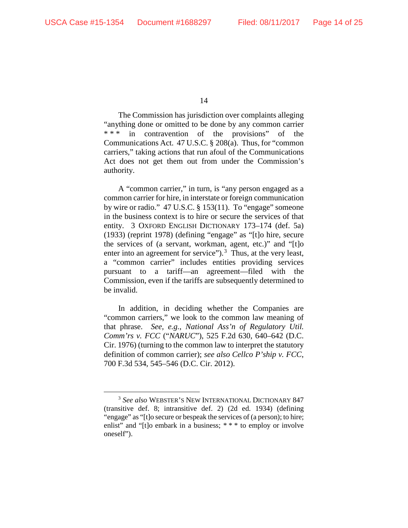The Commission has jurisdiction over complaints alleging "anything done or omitted to be done by any common carrier \*\*\* in contravention of the provisions" of the Communications Act. 47 U.S.C. § 208(a). Thus, for "common carriers," taking actions that run afoul of the Communications Act does not get them out from under the Commission's authority.

A "common carrier," in turn, is "any person engaged as a common carrier for hire, in interstate or foreign communication by wire or radio." 47 U.S.C. § 153(11). To "engage" someone in the business context is to hire or secure the services of that entity. 3 OXFORD ENGLISH DICTIONARY 173–174 (def. 5a) (1933) (reprint 1978) (defining "engage" as "[t]o hire, secure the services of (a servant, workman, agent, etc.)" and "[t]o enter into an agreement for service").<sup>[3](#page-13-0)</sup> Thus, at the very least, a "common carrier" includes entities providing services pursuant to a tariff—an agreement—filed with the Commission, even if the tariffs are subsequently determined to be invalid.

In addition, in deciding whether the Companies are "common carriers," we look to the common law meaning of that phrase. *See, e.g.*, *National Ass'n of Regulatory Util. Comm'rs v. FCC* ("*NARUC*"), 525 F.2d 630, 640–642 (D.C. Cir. 1976) (turning to the common law to interpret the statutory definition of common carrier); *see also Cellco P'ship v. FCC*, 700 F.3d 534, 545–546 (D.C. Cir. 2012).

<span id="page-13-0"></span> <sup>3</sup> *See also* WEBSTER'S NEW INTERNATIONAL DICTIONARY 847 (transitive def. 8; intransitive def. 2) (2d ed. 1934) (defining "engage" as "[t]o secure or bespeak the services of (a person); to hire; enlist" and "[t]o embark in a business; \*\*\* to employ or involve oneself").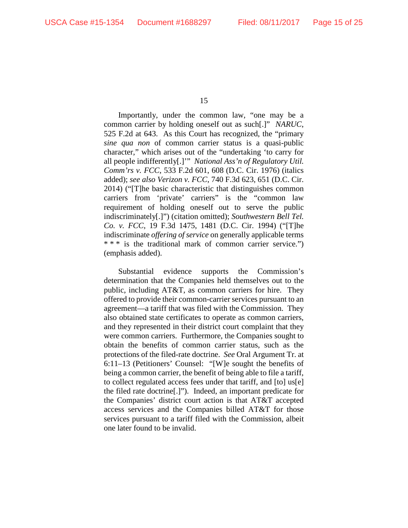Importantly, under the common law, "one may be a common carrier by holding oneself out as such[.]" *NARUC*, 525 F.2d at 643. As this Court has recognized, the "primary *sine qua non* of common carrier status is a quasi-public character," which arises out of the "undertaking 'to carry for all people indifferently[.]'" *National Ass'n of Regulatory Util. Comm'rs v. FCC*, 533 F.2d 601, 608 (D.C. Cir. 1976) (italics added); *see also Verizon v. FCC*, 740 F.3d 623, 651 (D.C. Cir. 2014) ("[T]he basic characteristic that distinguishes common carriers from 'private' carriers" is the "common law requirement of holding oneself out to serve the public indiscriminately[.]") (citation omitted); *Southwestern Bell Tel. Co. v. FCC*, 19 F.3d 1475, 1481 (D.C. Cir. 1994) ("[T]he indiscriminate *offering of service* on generally applicable terms \* \* \* is the traditional mark of common carrier service.") (emphasis added).

Substantial evidence supports the Commission's determination that the Companies held themselves out to the public, including AT&T, as common carriers for hire. They offered to provide their common-carrier services pursuant to an agreement—a tariff that was filed with the Commission. They also obtained state certificates to operate as common carriers, and they represented in their district court complaint that they were common carriers. Furthermore, the Companies sought to obtain the benefits of common carrier status, such as the protections of the filed-rate doctrine. *See* Oral Argument Tr. at 6:11–13 (Petitioners' Counsel: "[W]e sought the benefits of being a common carrier, the benefit of being able to file a tariff, to collect regulated access fees under that tariff, and [to] us[e] the filed rate doctrine[.]"). Indeed, an important predicate for the Companies' district court action is that AT&T accepted access services and the Companies billed AT&T for those services pursuant to a tariff filed with the Commission, albeit one later found to be invalid.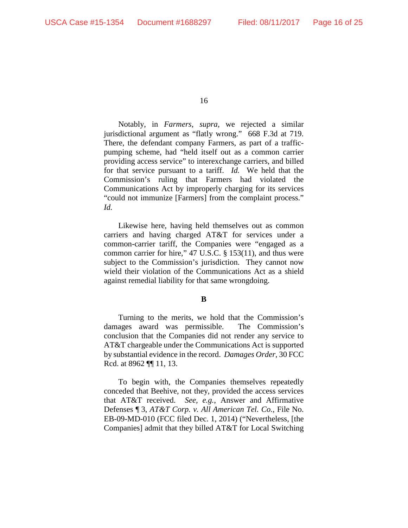Notably, in *Farmers*, *supra*, we rejected a similar jurisdictional argument as "flatly wrong." 668 F.3d at 719. There, the defendant company Farmers, as part of a trafficpumping scheme, had "held itself out as a common carrier providing access service" to interexchange carriers, and billed for that service pursuant to a tariff. *Id.* We held that the Commission's ruling that Farmers had violated the Communications Act by improperly charging for its services "could not immunize [Farmers] from the complaint process." *Id.* 

Likewise here, having held themselves out as common carriers and having charged AT&T for services under a common-carrier tariff, the Companies were "engaged as a common carrier for hire," 47 U.S.C. § 153(11), and thus were subject to the Commission's jurisdiction. They cannot now wield their violation of the Communications Act as a shield against remedial liability for that same wrongdoing.

#### **B**

Turning to the merits, we hold that the Commission's damages award was permissible. The Commission's conclusion that the Companies did not render any service to AT&T chargeable under the Communications Act is supported by substantial evidence in the record. *Damages Order*, 30 FCC Rcd. at 8962 ¶¶ 11, 13.

To begin with, the Companies themselves repeatedly conceded that Beehive, not they, provided the access services that AT&T received. *See, e.g.*, Answer and Affirmative Defenses ¶ 3, *AT&T Corp. v. All American Tel. Co.*, File No. EB-09-MD-010 (FCC filed Dec. 1, 2014) ("Nevertheless, [the Companies] admit that they billed AT&T for Local Switching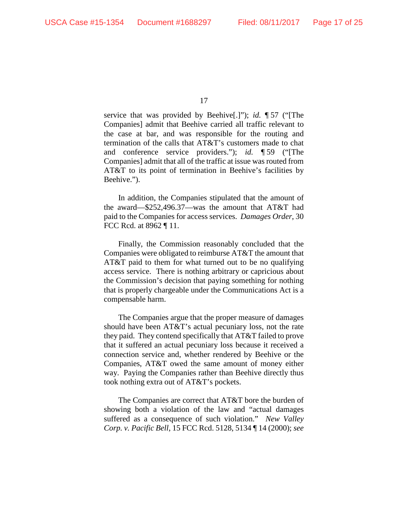service that was provided by Beehive[.]"); *id.* ¶ 57 ("[The Companies] admit that Beehive carried all traffic relevant to the case at bar, and was responsible for the routing and termination of the calls that AT&T's customers made to chat and conference service providers."); *id.* ¶ 59 ("[The Companies] admit that all of the traffic at issue was routed from AT&T to its point of termination in Beehive's facilities by Beehive.").

In addition, the Companies stipulated that the amount of the award—\$252,496.37—was the amount that AT&T had paid to the Companies for access services. *Damages Order*, 30 FCC Rcd. at 8962 ¶ 11.

Finally, the Commission reasonably concluded that the Companies were obligated to reimburse AT&T the amount that AT&T paid to them for what turned out to be no qualifying access service. There is nothing arbitrary or capricious about the Commission's decision that paying something for nothing that is properly chargeable under the Communications Act is a compensable harm.

The Companies argue that the proper measure of damages should have been AT&T's actual pecuniary loss, not the rate they paid. They contend specifically that AT&T failed to prove that it suffered an actual pecuniary loss because it received a connection service and, whether rendered by Beehive or the Companies, AT&T owed the same amount of money either way. Paying the Companies rather than Beehive directly thus took nothing extra out of AT&T's pockets.

The Companies are correct that AT&T bore the burden of showing both a violation of the law and "actual damages suffered as a consequence of such violation." *New Valley Corp. v. Pacific Bell*, 15 FCC Rcd. 5128, 5134 ¶ 14 (2000); *see*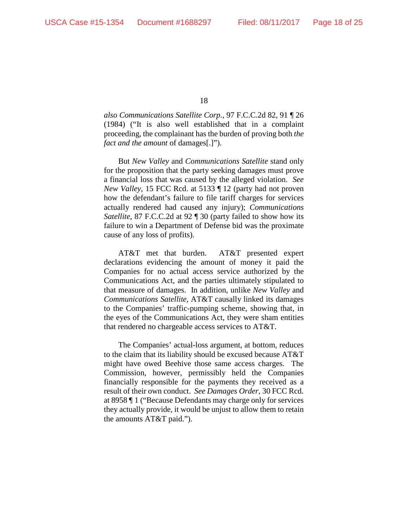*also Communications Satellite Corp.*, 97 F.C.C.2d 82, 91 ¶ 26 (1984) ("It is also well established that in a complaint proceeding, the complainant has the burden of proving both *the fact and the amount* of damages[.]").

But *New Valley* and *Communications Satellite* stand only for the proposition that the party seeking damages must prove a financial loss that was caused by the alleged violation. *See New Valley*, 15 FCC Rcd. at 5133 ¶ 12 (party had not proven how the defendant's failure to file tariff charges for services actually rendered had caused any injury); *Communications Satellite*, 87 F.C.C.2d at 92 ¶ 30 (party failed to show how its failure to win a Department of Defense bid was the proximate cause of any loss of profits).

AT&T met that burden. AT&T presented expert declarations evidencing the amount of money it paid the Companies for no actual access service authorized by the Communications Act, and the parties ultimately stipulated to that measure of damages. In addition, unlike *New Valley* and *Communications Satellite*, AT&T causally linked its damages to the Companies' traffic-pumping scheme, showing that, in the eyes of the Communications Act, they were sham entities that rendered no chargeable access services to AT&T.

The Companies' actual-loss argument, at bottom, reduces to the claim that its liability should be excused because AT&T might have owed Beehive those same access charges. The Commission, however, permissibly held the Companies financially responsible for the payments they received as a result of their own conduct. *See Damages Order*, 30 FCC Rcd. at 8958 ¶ 1 ("Because Defendants may charge only for services they actually provide, it would be unjust to allow them to retain the amounts AT&T paid.").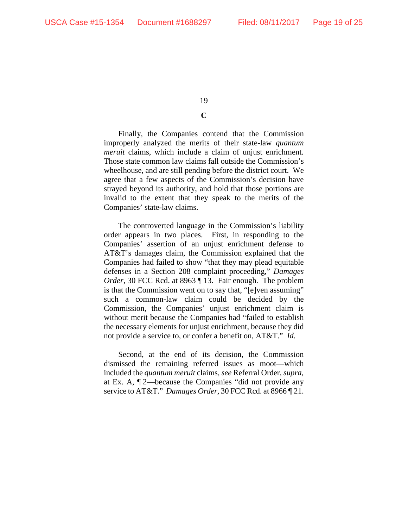## **C**

Finally, the Companies contend that the Commission improperly analyzed the merits of their state-law *quantum meruit* claims, which include a claim of unjust enrichment. Those state common law claims fall outside the Commission's wheelhouse, and are still pending before the district court. We agree that a few aspects of the Commission's decision have strayed beyond its authority, and hold that those portions are invalid to the extent that they speak to the merits of the Companies' state-law claims.

The controverted language in the Commission's liability order appears in two places. First, in responding to the Companies' assertion of an unjust enrichment defense to AT&T's damages claim, the Commission explained that the Companies had failed to show "that they may plead equitable defenses in a Section 208 complaint proceeding," *Damages Order*, 30 FCC Rcd. at 8963 ¶ 13. Fair enough. The problem is that the Commission went on to say that, "[e]ven assuming" such a common-law claim could be decided by the Commission, the Companies' unjust enrichment claim is without merit because the Companies had "failed to establish the necessary elements for unjust enrichment, because they did not provide a service to, or confer a benefit on, AT&T." *Id.*

Second, at the end of its decision, the Commission dismissed the remaining referred issues as moot—which included the *quantum meruit* claims, *see* Referral Order, *supra*, at Ex. A, ¶ 2—because the Companies "did not provide any service to AT&T." *Damages Order*, 30 FCC Rcd. at 8966 ¶ 21.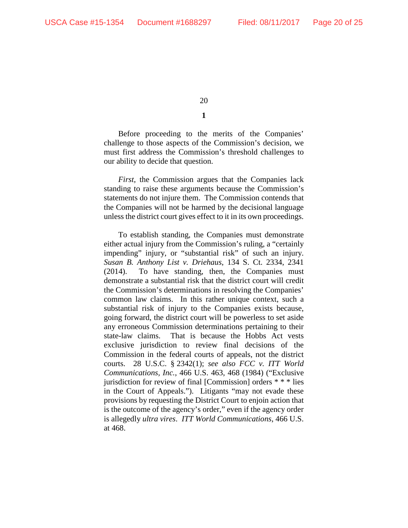Before proceeding to the merits of the Companies' challenge to those aspects of the Commission's decision, we must first address the Commission's threshold challenges to our ability to decide that question.

*First*, the Commission argues that the Companies lack standing to raise these arguments because the Commission's statements do not injure them. The Commission contends that the Companies will not be harmed by the decisional language unless the district court gives effect to it in its own proceedings.

To establish standing, the Companies must demonstrate either actual injury from the Commission's ruling, a "certainly impending" injury, or "substantial risk" of such an injury. *Susan B. Anthony List v. Driehaus*, 134 S. Ct. 2334, 2341 (2014). To have standing, then, the Companies must demonstrate a substantial risk that the district court will credit the Commission's determinations in resolving the Companies' common law claims. In this rather unique context, such a substantial risk of injury to the Companies exists because, going forward, the district court will be powerless to set aside any erroneous Commission determinations pertaining to their state-law claims. That is because the Hobbs Act vests exclusive jurisdiction to review final decisions of the Commission in the federal courts of appeals, not the district courts. 28 U.S.C. § 2342(1); *see also FCC v. ITT World Communications, Inc.*, 466 U.S. 463, 468 (1984) ("Exclusive jurisdiction for review of final [Commission] orders \* \* \* lies in the Court of Appeals."). Litigants "may not evade these provisions by requesting the District Court to enjoin action that is the outcome of the agency's order," even if the agency order is allegedly *ultra vires*. *ITT World Communications*, 466 U.S. at 468.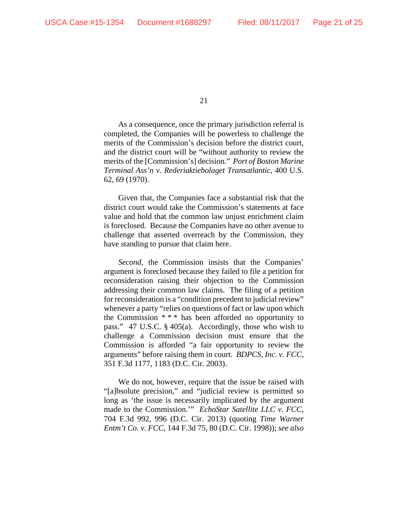As a consequence, once the primary jurisdiction referral is completed, the Companies will be powerless to challenge the merits of the Commission's decision before the district court, and the district court will be "without authority to review the merits of the [Commission's] decision." *Port of Boston Marine Terminal Ass'n v. Rederiaktiebolaget Transatlantic*, 400 U.S. 62, 69 (1970).

Given that, the Companies face a substantial risk that the district court would take the Commission's statements at face value and hold that the common law unjust enrichment claim is foreclosed. Because the Companies have no other avenue to challenge that asserted overreach by the Commission, they have standing to pursue that claim here.

*Second*, the Commission insists that the Companies' argument is foreclosed because they failed to file a petition for reconsideration raising their objection to the Commission addressing their common law claims. The filing of a petition for reconsideration is a "condition precedent to judicial review" whenever a party "relies on questions of fact or law upon which the Commission  $***$  has been afforded no opportunity to pass." 47 U.S.C. § 405(a). Accordingly, those who wish to challenge a Commission decision must ensure that the Commission is afforded "a fair opportunity to review the arguments" before raising them in court. *BDPCS, Inc. v. FCC*, 351 F.3d 1177, 1183 (D.C. Cir. 2003).

We do not, however, require that the issue be raised with "[a]bsolute precision," and "judicial review is permitted so long as 'the issue is necessarily implicated by the argument made to the Commission.'" *EchoStar Satellite LLC v. FCC*, 704 F.3d 992, 996 (D.C. Cir. 2013) (quoting *Time Warner Entm't Co. v. FCC*, 144 F.3d 75, 80 (D.C. Cir. 1998)); *see also*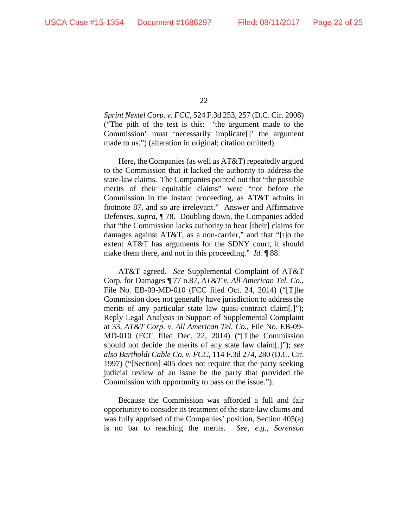*Sprint Nextel Corp. v. FCC*, 524 F.3d 253, 257 (D.C. Cir. 2008) ("The pith of the test is this: 'the argument made to the Commission' must 'necessarily implicate[]' the argument made to us.") (alteration in original; citation omitted).

Here, the Companies (as well as AT&T) repeatedly argued to the Commission that it lacked the authority to address the state-law claims. The Companies pointed out that "the possible merits of their equitable claims" were "not before the Commission in the instant proceeding, as AT&T admits in footnote 87, and so are irrelevant." Answer and Affirmative Defenses, *supra*, ¶ 78. Doubling down, the Companies added that "the Commission lacks authority to hear [their] claims for damages against AT&T, as a non-carrier," and that "[t]o the extent AT&T has arguments for the SDNY court, it should make them there, and not in this proceeding." *Id.* ¶ 88.

AT&T agreed. *See* Supplemental Complaint of AT&T Corp. for Damages ¶ 77 n.87, *AT&T v. All American Tel. Co.*, File No. EB-09-MD-010 (FCC filed Oct. 24, 2014) ("[T]he Commission does not generally have jurisdiction to address the merits of any particular state law quasi-contract claim[.]"); Reply Legal Analysis in Support of Supplemental Complaint at 33, *AT&T Corp. v. All American Tel. Co.*, File No. EB-09- MD-010 (FCC filed Dec. 22, 2014) ("[T]he Commission should not decide the merits of any state law claim[.]"); *see also Bartholdi Cable Co. v. FCC*, 114 F.3d 274, 280 (D.C. Cir. 1997) ("[Section] 405 does not require that the party seeking judicial review of an issue be the party that provided the Commission with opportunity to pass on the issue.").

Because the Commission was afforded a full and fair opportunity to consider its treatment of the state-law claims and was fully apprised of the Companies' position, Section 405(a) is no bar to reaching the merits. *See, e.g.*, *Sorenson*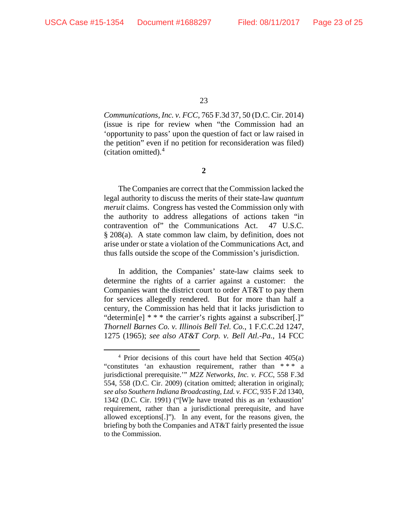*Communications, Inc. v. FCC*, 765 F.3d 37, 50 (D.C. Cir. 2014) (issue is ripe for review when "the Commission had an 'opportunity to pass' upon the question of fact or law raised in the petition" even if no petition for reconsideration was filed) (citation omitted). [4](#page-22-0)

**2**

The Companies are correct that the Commission lacked the legal authority to discuss the merits of their state-law *quantum meruit* claims. Congress has vested the Commission only with the authority to address allegations of actions taken "in contravention of" the Communications Act. 47 U.S.C. § 208(a). A state common law claim, by definition, does not arise under or state a violation of the Communications Act, and thus falls outside the scope of the Commission's jurisdiction.

In addition, the Companies' state-law claims seek to determine the rights of a carrier against a customer: the Companies want the district court to order AT&T to pay them for services allegedly rendered. But for more than half a century, the Commission has held that it lacks jurisdiction to "determin[e] \* \* \* the carrier's rights against a subscriber[.]" *Thornell Barnes Co. v. Illinois Bell Tel. Co.*, 1 F.C.C.2d 1247, 1275 (1965); *see also AT&T Corp. v. Bell Atl.-Pa.*, 14 FCC

<span id="page-22-0"></span> $4$  Prior decisions of this court have held that Section  $405(a)$ "constitutes 'an exhaustion requirement, rather than \* \* \* a jurisdictional prerequisite.'" *M2Z Networks, Inc. v. FCC*, 558 F.3d 554, 558 (D.C. Cir. 2009) (citation omitted; alteration in original); *see also Southern Indiana Broadcasting, Ltd. v. FCC*, 935 F.2d 1340, 1342 (D.C. Cir. 1991) ("[W]e have treated this as an 'exhaustion' requirement, rather than a jurisdictional prerequisite, and have allowed exceptions[.]"). In any event, for the reasons given, the briefing by both the Companies and AT&T fairly presented the issue to the Commission.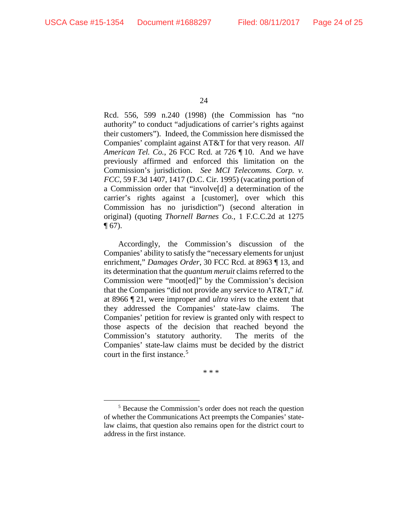Rcd. 556, 599 n.240 (1998) (the Commission has "no authority" to conduct "adjudications of carrier's rights against their customers"). Indeed, the Commission here dismissed the Companies' complaint against AT&T for that very reason. *All American Tel. Co.*, 26 FCC Rcd. at 726 ¶ 10. And we have previously affirmed and enforced this limitation on the Commission's jurisdiction. *See MCI Telecomms. Corp. v. FCC*, 59 F.3d 1407, 1417 (D.C. Cir. 1995) (vacating portion of a Commission order that "involve[d] a determination of the carrier's rights against a [customer], over which this Commission has no jurisdiction") (second alteration in original) (quoting *Thornell Barnes Co.*, 1 F.C.C.2d at 1275  $\P(67)$ .

Accordingly, the Commission's discussion of the Companies' ability to satisfy the "necessary elements for unjust enrichment," *Damages Order*, 30 FCC Rcd. at 8963 ¶ 13, and its determination that the *quantum meruit* claims referred to the Commission were "moot[ed]" by the Commission's decision that the Companies "did not provide any service to AT&T," *id.* at 8966 ¶ 21, were improper and *ultra vires* to the extent that they addressed the Companies' state-law claims. The Companies' petition for review is granted only with respect to those aspects of the decision that reached beyond the Commission's statutory authority. The merits of the Companies' state-law claims must be decided by the district court in the first instance.<sup>[5](#page-23-0)</sup>

\* \* \*

<sup>24</sup>

<span id="page-23-0"></span> <sup>5</sup> Because the Commission's order does not reach the question of whether the Communications Act preempts the Companies' statelaw claims, that question also remains open for the district court to address in the first instance.